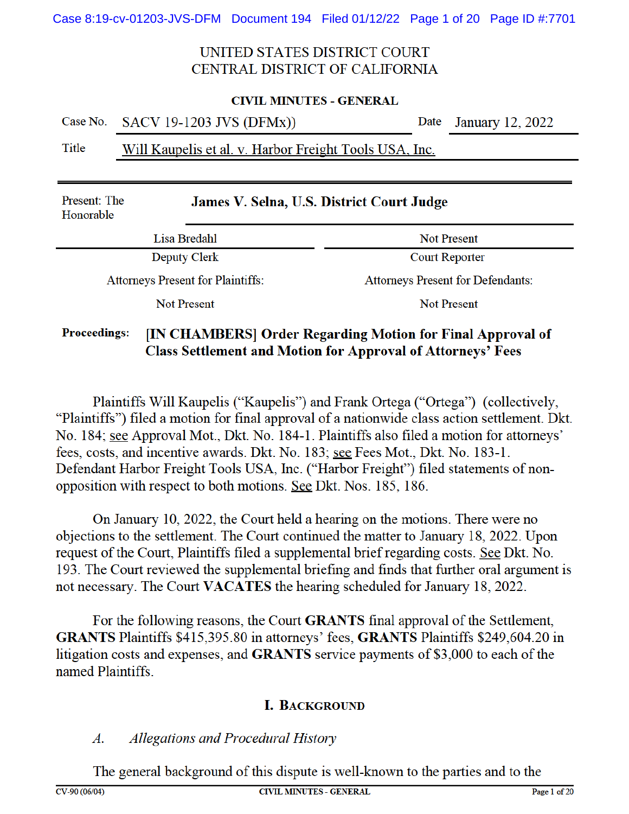#### **CIVIL MINUTES - GENERAL**

|       | Case No. SACV 19-1203 JVS (DFMx))                      | Date January 12, 2022 |
|-------|--------------------------------------------------------|-----------------------|
| Title | Will Kaupelis et al. y. Harbor Freight Tools USA, Inc. |                       |

#### <u>WHI Kaupelis et al. V. Harbor Fielght Tools OSA, file.</u>

| Present: The<br>Honorable                | James V. Selna, U.S. District Court Judge |
|------------------------------------------|-------------------------------------------|
| Lisa Bredahl                             | <b>Not Present</b>                        |
| Deputy Clerk                             | <b>Court Reporter</b>                     |
| <b>Attorneys Present for Plaintiffs:</b> | <b>Attorneys Present for Defendants:</b>  |
| Not Present                              | Not Present                               |

#### **Proceedings:** [IN CHAMBERS] Order Regarding Motion for Final Approval of **Class Settlement and Motion for Approval of Attorneys' Fees**

Plaintiffs Will Kaupelis ("Kaupelis") and Frank Ortega ("Ortega") (collectively, "Plaintiffs") filed a motion for final approval of a nationwide class action settlement. Dkt. No. 184; see Approval Mot., Dkt. No. 184-1. Plaintiffs also filed a motion for attorneys' fees, costs, and incentive awards. Dkt. No. 183; see Fees Mot., Dkt. No. 183-1. Defendant Harbor Freight Tools USA, Inc. ("Harbor Freight") filed statements of nonopposition with respect to both motions. See Dkt. Nos. 185, 186.

On January 10, 2022, the Court held a hearing on the motions. There were no objections to the settlement. The Court continued the matter to January 18, 2022. Upon request of the Court, Plaintiffs filed a supplemental brief regarding costs. See Dkt. No. 193. The Court reviewed the supplemental briefing and finds that further oral argument is not necessary. The Court VACATES the hearing scheduled for January 18, 2022.

For the following reasons, the Court GRANTS final approval of the Settlement, **GRANTS** Plaintiffs \$415,395.80 in attorneys' fees, **GRANTS** Plaintiffs \$249,604.20 in litigation costs and expenses, and **GRANTS** service payments of \$3,000 to each of the named Plaintiffs

#### **I. BACKGROUND**

#### Allegations and Procedural History  $\boldsymbol{A}$ .

The general background of this dispute is well-known to the parties and to the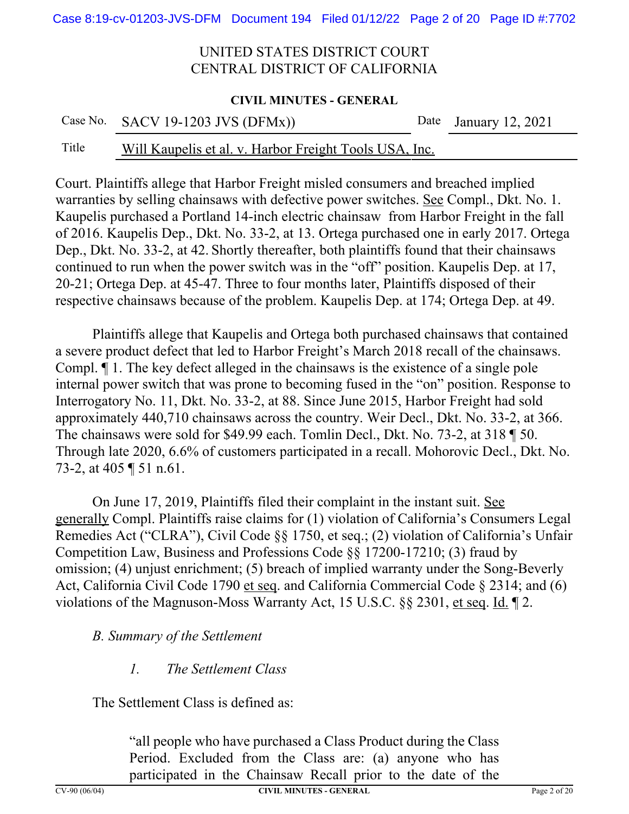#### **CIVIL MINUTES - GENERAL**

| Case No. SACV 19-1203 JVS (DFMx)) | Date January 12, 2021 |
|-----------------------------------|-----------------------|
|                                   |                       |

### Title Will Kaupelis et al. v. Harbor Freight Tools USA, Inc.

Court. Plaintiffs allege that Harbor Freight misled consumers and breached implied warranties by selling chainsaws with defective power switches. See Compl., Dkt. No. 1. Kaupelis purchased a Portland 14-inch electric chainsaw from Harbor Freight in the fall of 2016. Kaupelis Dep., Dkt. No. 33-2, at 13. Ortega purchased one in early 2017. Ortega Dep., Dkt. No. 33-2, at 42. Shortly thereafter, both plaintiffs found that their chainsaws continued to run when the power switch was in the "off" position. Kaupelis Dep. at 17, 20-21; Ortega Dep. at 45-47. Three to four months later, Plaintiffs disposed of their respective chainsaws because of the problem. Kaupelis Dep. at 174; Ortega Dep. at 49.

Plaintiffs allege that Kaupelis and Ortega both purchased chainsaws that contained a severe product defect that led to Harbor Freight's March 2018 recall of the chainsaws. Compl. ¶ 1. The key defect alleged in the chainsaws is the existence of a single pole internal power switch that was prone to becoming fused in the "on" position. Response to Interrogatory No. 11, Dkt. No. 33-2, at 88. Since June 2015, Harbor Freight had sold approximately 440,710 chainsaws across the country. Weir Decl., Dkt. No. 33-2, at 366. The chainsaws were sold for \$49.99 each. Tomlin Decl., Dkt. No. 73-2, at 318 ¶ 50. Through late 2020, 6.6% of customers participated in a recall. Mohorovic Decl., Dkt. No. 73-2, at 405 ¶ 51 n.61.

On June 17, 2019, Plaintiffs filed their complaint in the instant suit. See generally Compl. Plaintiffs raise claims for (1) violation of California's Consumers Legal Remedies Act ("CLRA"), Civil Code §§ 1750, et seq.; (2) violation of California's Unfair Competition Law, Business and Professions Code §§ 17200-17210; (3) fraud by omission; (4) unjust enrichment; (5) breach of implied warranty under the Song-Beverly Act, California Civil Code 1790 et seq. and California Commercial Code § 2314; and (6) violations of the Magnuson-Moss Warranty Act, 15 U.S.C. §§ 2301, et seq. Id. ¶ 2.

#### *B. Summary of the Settlement*

#### *1. The Settlement Class*

The Settlement Class is defined as:

"all people who have purchased a Class Product during the Class Period. Excluded from the Class are: (a) anyone who has participated in the Chainsaw Recall prior to the date of the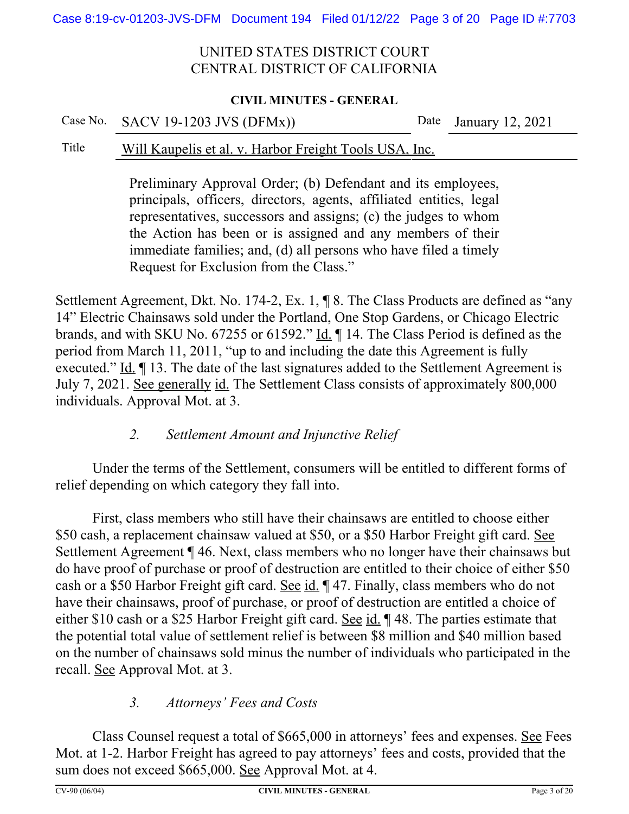#### **CIVIL MINUTES - GENERAL**

#### Case No. SACV 19-1203 JVS (DFMx)) Date January 12, 2021

#### Title Will Kaupelis et al. v. Harbor Freight Tools USA, Inc.

Preliminary Approval Order; (b) Defendant and its employees, principals, officers, directors, agents, affiliated entities, legal representatives, successors and assigns; (c) the judges to whom the Action has been or is assigned and any members of their immediate families; and, (d) all persons who have filed a timely Request for Exclusion from the Class."

Settlement Agreement, Dkt. No. 174-2, Ex. 1, ¶ 8. The Class Products are defined as "any 14" Electric Chainsaws sold under the Portland, One Stop Gardens, or Chicago Electric brands, and with SKU No. 67255 or 61592." Id. ¶ 14. The Class Period is defined as the period from March 11, 2011, "up to and including the date this Agreement is fully executed." Id. ¶ 13. The date of the last signatures added to the Settlement Agreement is July 7, 2021. See generally id. The Settlement Class consists of approximately 800,000 individuals. Approval Mot. at 3.

### *2. Settlement Amount and Injunctive Relief*

Under the terms of the Settlement, consumers will be entitled to different forms of relief depending on which category they fall into.

First, class members who still have their chainsaws are entitled to choose either \$50 cash, a replacement chainsaw valued at \$50, or a \$50 Harbor Freight gift card. See Settlement Agreement ¶ 46. Next, class members who no longer have their chainsaws but do have proof of purchase or proof of destruction are entitled to their choice of either \$50 cash or a \$50 Harbor Freight gift card. See id.  $\parallel$  47. Finally, class members who do not have their chainsaws, proof of purchase, or proof of destruction are entitled a choice of either \$10 cash or a \$25 Harbor Freight gift card. See id. ¶ 48. The parties estimate that the potential total value of settlement relief is between \$8 million and \$40 million based on the number of chainsaws sold minus the number of individuals who participated in the recall. See Approval Mot. at 3.

### *3. Attorneys' Fees and Costs*

Class Counsel request a total of \$665,000 in attorneys' fees and expenses. See Fees Mot. at 1-2. Harbor Freight has agreed to pay attorneys' fees and costs, provided that the sum does not exceed \$665,000. See Approval Mot. at 4.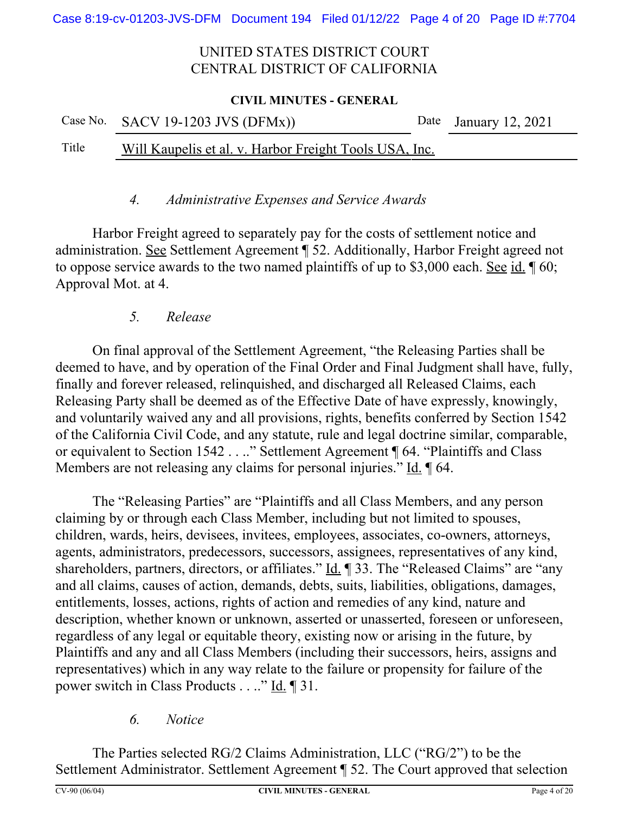#### **CIVIL MINUTES - GENERAL**

|       | Case No. SACV 19-1203 JVS $(DFMx)$ )                   | Date January 12, 2021 |
|-------|--------------------------------------------------------|-----------------------|
| Title | Will Kaupelis et al. v. Harbor Freight Tools USA, Inc. |                       |

#### *4. Administrative Expenses and Service Awards*

Harbor Freight agreed to separately pay for the costs of settlement notice and administration. See Settlement Agreement ¶ 52. Additionally, Harbor Freight agreed not to oppose service awards to the two named plaintiffs of up to \$3,000 each. See id. ¶ 60; Approval Mot. at 4.

### *5. Release*

On final approval of the Settlement Agreement, "the Releasing Parties shall be deemed to have, and by operation of the Final Order and Final Judgment shall have, fully, finally and forever released, relinquished, and discharged all Released Claims, each Releasing Party shall be deemed as of the Effective Date of have expressly, knowingly, and voluntarily waived any and all provisions, rights, benefits conferred by Section 1542 of the California Civil Code, and any statute, rule and legal doctrine similar, comparable, or equivalent to Section 1542 . . .." Settlement Agreement ¶ 64. "Plaintiffs and Class Members are not releasing any claims for personal injuries." Id. 164.

The "Releasing Parties" are "Plaintiffs and all Class Members, and any person claiming by or through each Class Member, including but not limited to spouses, children, wards, heirs, devisees, invitees, employees, associates, co-owners, attorneys, agents, administrators, predecessors, successors, assignees, representatives of any kind, shareholders, partners, directors, or affiliates." Id. ¶ 33. The "Released Claims" are "any and all claims, causes of action, demands, debts, suits, liabilities, obligations, damages, entitlements, losses, actions, rights of action and remedies of any kind, nature and description, whether known or unknown, asserted or unasserted, foreseen or unforeseen, regardless of any legal or equitable theory, existing now or arising in the future, by Plaintiffs and any and all Class Members (including their successors, heirs, assigns and representatives) which in any way relate to the failure or propensity for failure of the power switch in Class Products . . .." Id. ¶ 31.

### *6. Notice*

The Parties selected RG/2 Claims Administration, LLC ("RG/2") to be the Settlement Administrator. Settlement Agreement ¶ 52. The Court approved that selection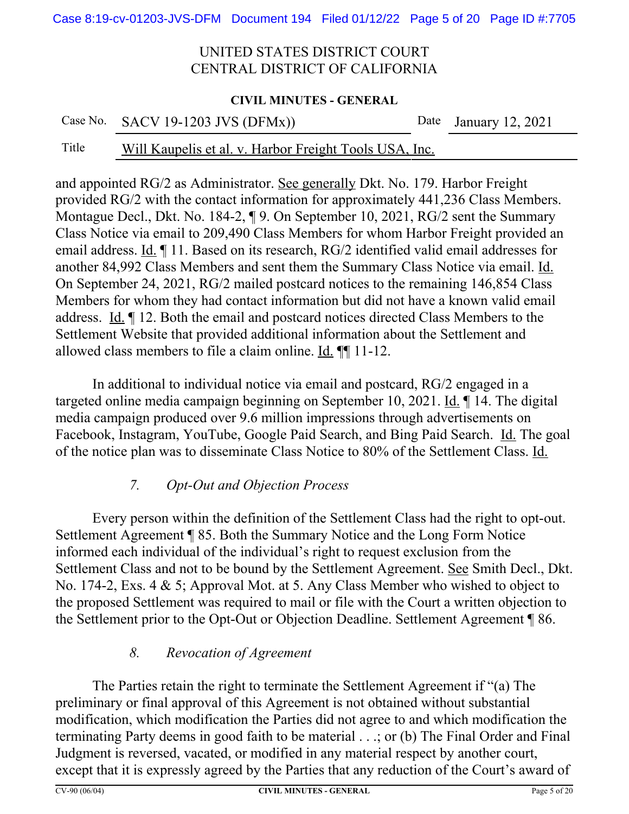#### **CIVIL MINUTES - GENERAL**

| Case No. SACV 19-1203 JVS (DFMx)) |  |  |  |  |  |  |
|-----------------------------------|--|--|--|--|--|--|
|                                   |  |  |  |  |  |  |

# Title Will Kaupelis et al. v. Harbor Freight Tools USA, Inc.

and appointed RG/2 as Administrator. See generally Dkt. No. 179. Harbor Freight provided RG/2 with the contact information for approximately 441,236 Class Members. Montague Decl., Dkt. No. 184-2, ¶ 9. On September 10, 2021, RG/2 sent the Summary Class Notice via email to 209,490 Class Members for whom Harbor Freight provided an email address. Id. ¶ 11. Based on its research, RG/2 identified valid email addresses for another 84,992 Class Members and sent them the Summary Class Notice via email. Id. On September 24, 2021, RG/2 mailed postcard notices to the remaining 146,854 Class Members for whom they had contact information but did not have a known valid email address. Id. ¶ 12. Both the email and postcard notices directed Class Members to the Settlement Website that provided additional information about the Settlement and allowed class members to file a claim online. Id. ¶¶ 11-12.

In additional to individual notice via email and postcard, RG/2 engaged in a targeted online media campaign beginning on September 10, 2021. Id. ¶ 14. The digital media campaign produced over 9.6 million impressions through advertisements on Facebook, Instagram, YouTube, Google Paid Search, and Bing Paid Search. Id. The goal of the notice plan was to disseminate Class Notice to 80% of the Settlement Class. Id.

### *7. Opt-Out and Objection Process*

Every person within the definition of the Settlement Class had the right to opt-out. Settlement Agreement ¶ 85. Both the Summary Notice and the Long Form Notice informed each individual of the individual's right to request exclusion from the Settlement Class and not to be bound by the Settlement Agreement. See Smith Decl., Dkt. No. 174-2, Exs. 4 & 5; Approval Mot. at 5. Any Class Member who wished to object to the proposed Settlement was required to mail or file with the Court a written objection to the Settlement prior to the Opt-Out or Objection Deadline. Settlement Agreement ¶ 86.

### *8. Revocation of Agreement*

The Parties retain the right to terminate the Settlement Agreement if "(a) The preliminary or final approval of this Agreement is not obtained without substantial modification, which modification the Parties did not agree to and which modification the terminating Party deems in good faith to be material . . .; or (b) The Final Order and Final Judgment is reversed, vacated, or modified in any material respect by another court, except that it is expressly agreed by the Parties that any reduction of the Court's award of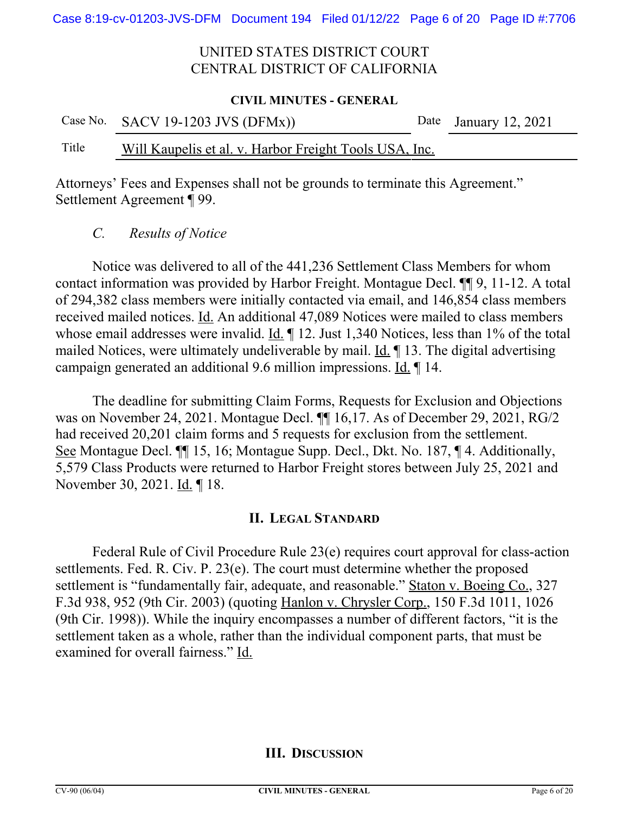#### **CIVIL MINUTES - GENERAL**

|       | Case No. SACV 19-1203 JVS (DFMx))                      | Date January 12, 2021 |
|-------|--------------------------------------------------------|-----------------------|
| Title | Will Kaupelis et al. v. Harbor Freight Tools USA, Inc. |                       |

Attorneys' Fees and Expenses shall not be grounds to terminate this Agreement." Settlement Agreement ¶ 99.

*C. Results of Notice*

Notice was delivered to all of the 441,236 Settlement Class Members for whom contact information was provided by Harbor Freight. Montague Decl. ¶¶ 9, 11-12. A total of 294,382 class members were initially contacted via email, and 146,854 class members received mailed notices. Id. An additional 47,089 Notices were mailed to class members whose email addresses were invalid. Id.  $\P$  12. Just 1,340 Notices, less than 1% of the total mailed Notices, were ultimately undeliverable by mail. Id. ¶ 13. The digital advertising campaign generated an additional 9.6 million impressions. Id. ¶ 14.

The deadline for submitting Claim Forms, Requests for Exclusion and Objections was on November 24, 2021. Montague Decl. ¶¶ 16,17. As of December 29, 2021, RG/2 had received 20,201 claim forms and 5 requests for exclusion from the settlement. See Montague Decl. ¶¶ 15, 16; Montague Supp. Decl., Dkt. No. 187, ¶ 4. Additionally, 5,579 Class Products were returned to Harbor Freight stores between July 25, 2021 and November 30, 2021. Id. ¶ 18.

### **II. LEGAL STANDARD**

Federal Rule of Civil Procedure Rule 23(e) requires court approval for class-action settlements. Fed. R. Civ. P. 23(e). The court must determine whether the proposed settlement is "fundamentally fair, adequate, and reasonable." Staton v. Boeing Co., 327 F.3d 938, 952 (9th Cir. 2003) (quoting Hanlon v. Chrysler Corp., 150 F.3d 1011, 1026 (9th Cir. 1998)). While the inquiry encompasses a number of different factors, "it is the settlement taken as a whole, rather than the individual component parts, that must be examined for overall fairness." Id.

#### **III. DISCUSSION**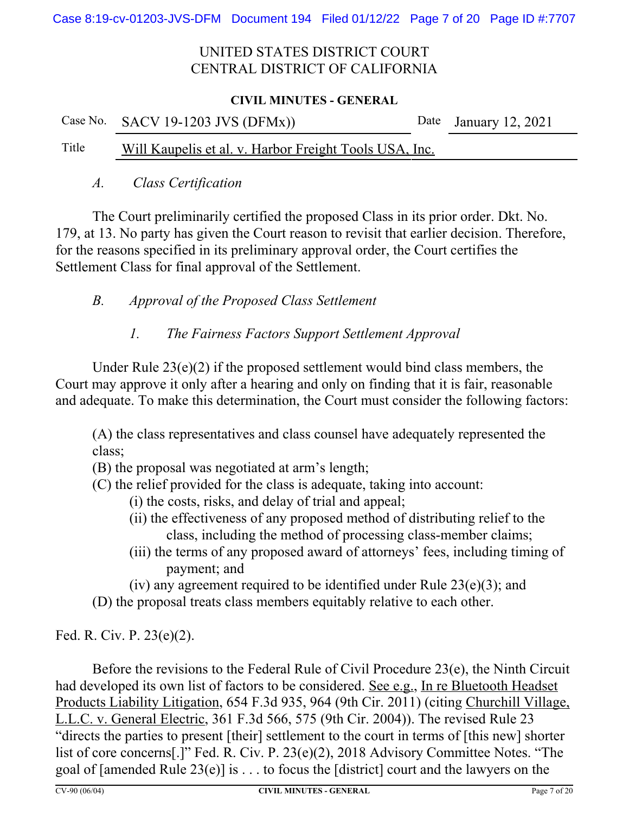#### **CIVIL MINUTES - GENERAL**

|       | Case No. SACV 19-1203 JVS $(DFMx)$ )                   | Date January 12, 2021 |
|-------|--------------------------------------------------------|-----------------------|
| Title | Will Kaupelis et al. v. Harbor Freight Tools USA, Inc. |                       |

#### *A. Class Certification*

The Court preliminarily certified the proposed Class in its prior order. Dkt. No. 179, at 13. No party has given the Court reason to revisit that earlier decision. Therefore, for the reasons specified in its preliminary approval order, the Court certifies the Settlement Class for final approval of the Settlement.

### *B. Approval of the Proposed Class Settlement*

### *1. The Fairness Factors Support Settlement Approval*

Under Rule 23(e)(2) if the proposed settlement would bind class members, the Court may approve it only after a hearing and only on finding that it is fair, reasonable and adequate. To make this determination, the Court must consider the following factors:

(A) the class representatives and class counsel have adequately represented the class;

- (B) the proposal was negotiated at arm's length;
- (C) the relief provided for the class is adequate, taking into account:
	- (i) the costs, risks, and delay of trial and appeal;
	- (ii) the effectiveness of any proposed method of distributing relief to the class, including the method of processing class-member claims;
	- (iii) the terms of any proposed award of attorneys' fees, including timing of payment; and

(iv) any agreement required to be identified under Rule  $23(e)(3)$ ; and

(D) the proposal treats class members equitably relative to each other.

Fed. R. Civ. P. 23(e)(2).

Before the revisions to the Federal Rule of Civil Procedure 23(e), the Ninth Circuit had developed its own list of factors to be considered. See e.g., In re Bluetooth Headset Products Liability Litigation, 654 F.3d 935, 964 (9th Cir. 2011) (citing Churchill Village, L.L.C. v. General Electric, 361 F.3d 566, 575 (9th Cir. 2004)). The revised Rule 23 "directs the parties to present [their] settlement to the court in terms of [this new] shorter list of core concerns[.]" Fed. R. Civ. P. 23(e)(2), 2018 Advisory Committee Notes. "The goal of [amended Rule 23(e)] is . . . to focus the [district] court and the lawyers on the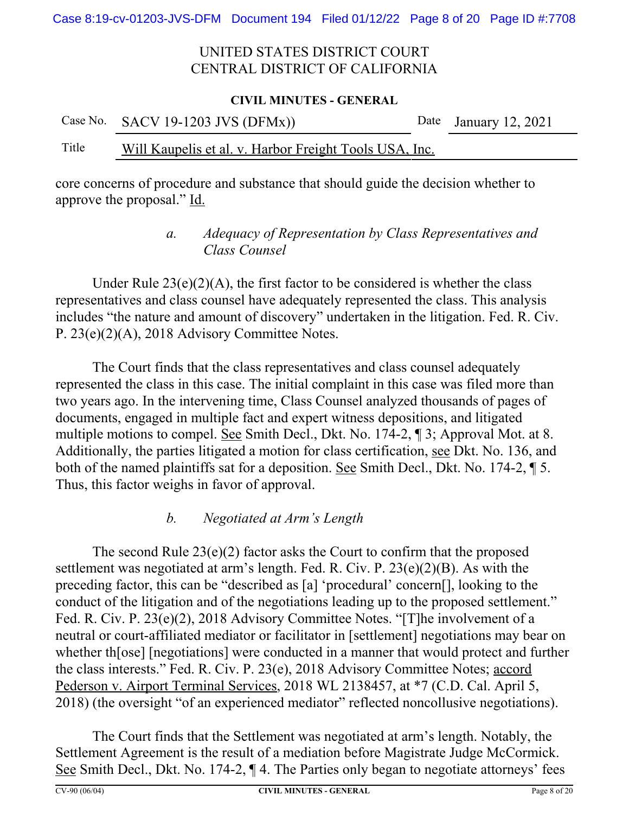#### **CIVIL MINUTES - GENERAL**

|       | Case No. SACV 19-1203 JVS (DFMx))                      | Date January 12, 2021 |
|-------|--------------------------------------------------------|-----------------------|
| Title | Will Kaupelis et al. v. Harbor Freight Tools USA, Inc. |                       |

core concerns of procedure and substance that should guide the decision whether to approve the proposal." Id.

### *a. Adequacy of Representation by Class Representatives and Class Counsel*

Under Rule  $23(e)(2)(A)$ , the first factor to be considered is whether the class representatives and class counsel have adequately represented the class. This analysis includes "the nature and amount of discovery" undertaken in the litigation. Fed. R. Civ. P. 23(e)(2)(A), 2018 Advisory Committee Notes.

The Court finds that the class representatives and class counsel adequately represented the class in this case. The initial complaint in this case was filed more than two years ago. In the intervening time, Class Counsel analyzed thousands of pages of documents, engaged in multiple fact and expert witness depositions, and litigated multiple motions to compel. See Smith Decl., Dkt. No. 174-2, ¶ 3; Approval Mot. at 8. Additionally, the parties litigated a motion for class certification, see Dkt. No. 136, and both of the named plaintiffs sat for a deposition. See Smith Decl., Dkt. No. 174-2, ¶ 5. Thus, this factor weighs in favor of approval.

### *b. Negotiated at Arm's Length*

The second Rule  $23(e)(2)$  factor asks the Court to confirm that the proposed settlement was negotiated at arm's length. Fed. R. Civ. P. 23(e)(2)(B). As with the preceding factor, this can be "described as [a] 'procedural' concern[], looking to the conduct of the litigation and of the negotiations leading up to the proposed settlement." Fed. R. Civ. P. 23(e)(2), 2018 Advisory Committee Notes. "[T]he involvement of a neutral or court-affiliated mediator or facilitator in [settlement] negotiations may bear on whether th[ose] [negotiations] were conducted in a manner that would protect and further the class interests." Fed. R. Civ. P. 23(e), 2018 Advisory Committee Notes; accord Pederson v. Airport Terminal Services, 2018 WL 2138457, at \*7 (C.D. Cal. April 5, 2018) (the oversight "of an experienced mediator" reflected noncollusive negotiations).

The Court finds that the Settlement was negotiated at arm's length. Notably, the Settlement Agreement is the result of a mediation before Magistrate Judge McCormick. See Smith Decl., Dkt. No. 174-2, ¶ 4. The Parties only began to negotiate attorneys' fees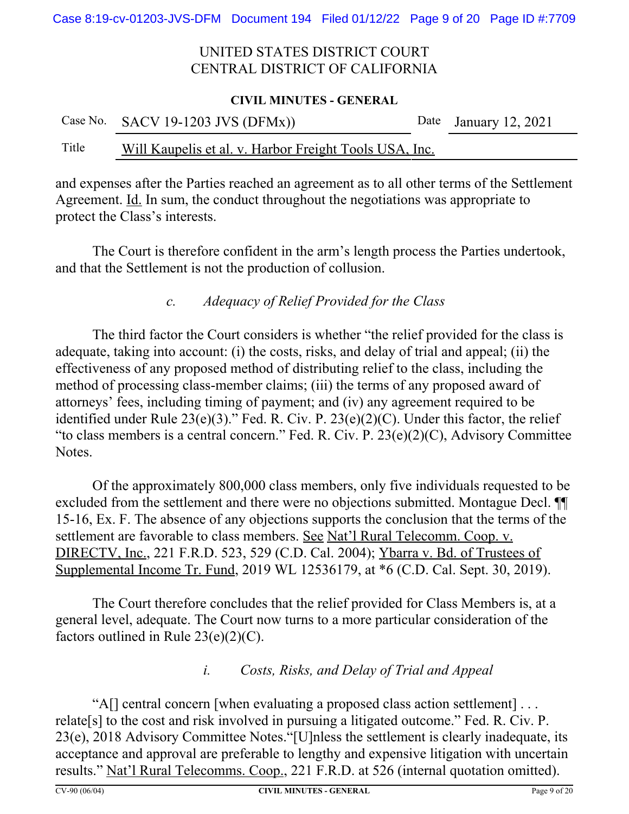#### **CIVIL MINUTES - GENERAL**

|       | Case No. SACV 19-1203 JVS $(DFMx)$ )                   | Date January 12, 2021 |
|-------|--------------------------------------------------------|-----------------------|
| Title | Will Kaupelis et al. v. Harbor Freight Tools USA, Inc. |                       |

and expenses after the Parties reached an agreement as to all other terms of the Settlement Agreement. Id. In sum, the conduct throughout the negotiations was appropriate to protect the Class's interests.

The Court is therefore confident in the arm's length process the Parties undertook, and that the Settlement is not the production of collusion.

### *c. Adequacy of Relief Provided for the Class*

The third factor the Court considers is whether "the relief provided for the class is adequate, taking into account: (i) the costs, risks, and delay of trial and appeal; (ii) the effectiveness of any proposed method of distributing relief to the class, including the method of processing class-member claims; (iii) the terms of any proposed award of attorneys' fees, including timing of payment; and (iv) any agreement required to be identified under Rule  $23(e)(3)$ ." Fed. R. Civ. P.  $23(e)(2)(C)$ . Under this factor, the relief "to class members is a central concern." Fed. R. Civ. P. 23(e)(2)(C), Advisory Committee Notes.

Of the approximately 800,000 class members, only five individuals requested to be excluded from the settlement and there were no objections submitted. Montague Decl. ¶¶ 15-16, Ex. F. The absence of any objections supports the conclusion that the terms of the settlement are favorable to class members. See Nat'l Rural Telecomm. Coop. v. DIRECTV, Inc., 221 F.R.D. 523, 529 (C.D. Cal. 2004); Ybarra v. Bd. of Trustees of Supplemental Income Tr. Fund, 2019 WL 12536179, at \*6 (C.D. Cal. Sept. 30, 2019).

The Court therefore concludes that the relief provided for Class Members is, at a general level, adequate. The Court now turns to a more particular consideration of the factors outlined in Rule  $23(e)(2)(C)$ .

### *i. Costs, Risks, and Delay of Trial and Appeal*

"A[] central concern [when evaluating a proposed class action settlement] . . . relate[s] to the cost and risk involved in pursuing a litigated outcome." Fed. R. Civ. P. 23(e), 2018 Advisory Committee Notes."[U]nless the settlement is clearly inadequate, its acceptance and approval are preferable to lengthy and expensive litigation with uncertain results." Nat'l Rural Telecomms. Coop., 221 F.R.D. at 526 (internal quotation omitted).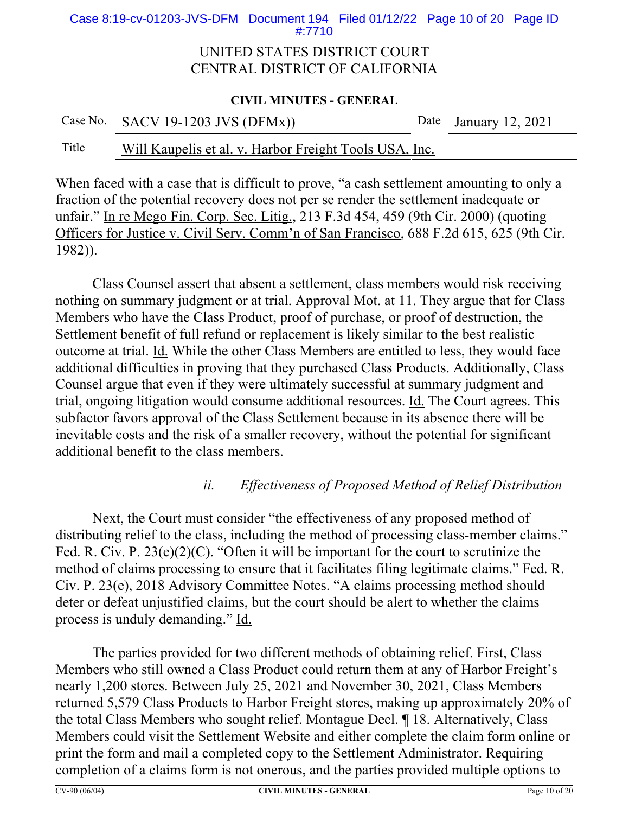Case 8:19-cv-01203-JVS-DFM Document 194 Filed 01/12/22 Page 10 of 20 Page ID #:7710

#### UNITED STATES DISTRICT COURT CENTRAL DISTRICT OF CALIFORNIA

#### **CIVIL MINUTES - GENERAL**

Case No. SACV 19-1203 JVS (DFMx)) Date January 12, 2021

### Title Will Kaupelis et al. v. Harbor Freight Tools USA, Inc.

When faced with a case that is difficult to prove, "a cash settlement amounting to only a fraction of the potential recovery does not per se render the settlement inadequate or unfair." In re Mego Fin. Corp. Sec. Litig., 213 F.3d 454, 459 (9th Cir. 2000) (quoting Officers for Justice v. Civil Serv. Comm'n of San Francisco, 688 F.2d 615, 625 (9th Cir. 1982)).

Class Counsel assert that absent a settlement, class members would risk receiving nothing on summary judgment or at trial. Approval Mot. at 11. They argue that for Class Members who have the Class Product, proof of purchase, or proof of destruction, the Settlement benefit of full refund or replacement is likely similar to the best realistic outcome at trial. Id. While the other Class Members are entitled to less, they would face additional difficulties in proving that they purchased Class Products. Additionally, Class Counsel argue that even if they were ultimately successful at summary judgment and trial, ongoing litigation would consume additional resources. Id. The Court agrees. This subfactor favors approval of the Class Settlement because in its absence there will be inevitable costs and the risk of a smaller recovery, without the potential for significant additional benefit to the class members.

### *ii. Effectiveness of Proposed Method of Relief Distribution*

Next, the Court must consider "the effectiveness of any proposed method of distributing relief to the class, including the method of processing class-member claims." Fed. R. Civ. P. 23(e)(2)(C). "Often it will be important for the court to scrutinize the method of claims processing to ensure that it facilitates filing legitimate claims." Fed. R. Civ. P. 23(e), 2018 Advisory Committee Notes. "A claims processing method should deter or defeat unjustified claims, but the court should be alert to whether the claims process is unduly demanding." Id.

The parties provided for two different methods of obtaining relief. First, Class Members who still owned a Class Product could return them at any of Harbor Freight's nearly 1,200 stores. Between July 25, 2021 and November 30, 2021, Class Members returned 5,579 Class Products to Harbor Freight stores, making up approximately 20% of the total Class Members who sought relief. Montague Decl. ¶ 18. Alternatively, Class Members could visit the Settlement Website and either complete the claim form online or print the form and mail a completed copy to the Settlement Administrator. Requiring completion of a claims form is not onerous, and the parties provided multiple options to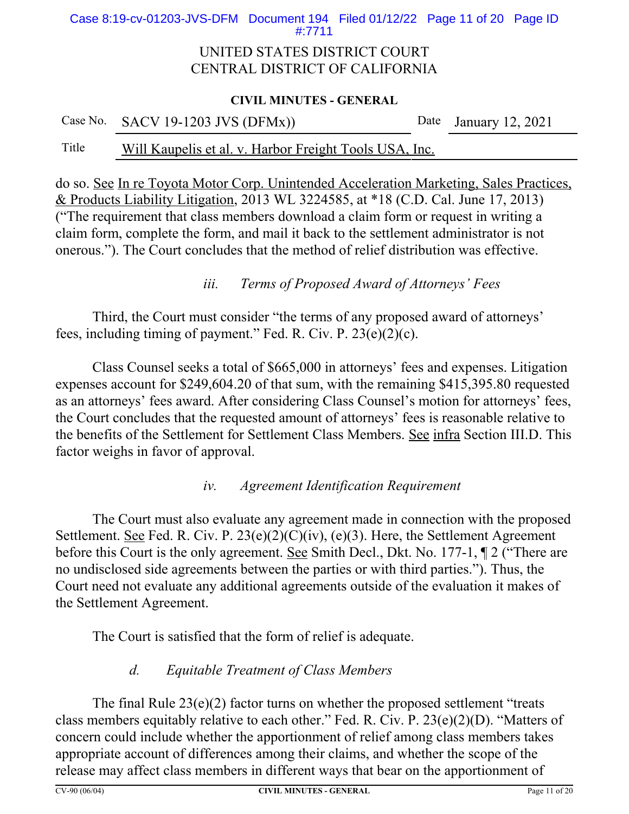Case 8:19-cv-01203-JVS-DFM Document 194 Filed 01/12/22 Page 11 of 20 Page ID #:7711

### UNITED STATES DISTRICT COURT CENTRAL DISTRICT OF CALIFORNIA

#### **CIVIL MINUTES - GENERAL**

|       | Case No. SACV 19-1203 JVS $(DFMx)$ )                   | Date January 12, 2021 |
|-------|--------------------------------------------------------|-----------------------|
| Title | Will Kaupelis et al. v. Harbor Freight Tools USA, Inc. |                       |

do so. See In re Toyota Motor Corp. Unintended Acceleration Marketing, Sales Practices, & Products Liability Litigation, 2013 WL 3224585, at \*18 (C.D. Cal. June 17, 2013) ("The requirement that class members download a claim form or request in writing a claim form, complete the form, and mail it back to the settlement administrator is not onerous."). The Court concludes that the method of relief distribution was effective.

### *iii. Terms of Proposed Award of Attorneys' Fees*

Third, the Court must consider "the terms of any proposed award of attorneys' fees, including timing of payment." Fed. R. Civ. P. 23(e)(2)(c).

Class Counsel seeks a total of \$665,000 in attorneys' fees and expenses. Litigation expenses account for \$249,604.20 of that sum, with the remaining \$415,395.80 requested as an attorneys' fees award. After considering Class Counsel's motion for attorneys' fees, the Court concludes that the requested amount of attorneys' fees is reasonable relative to the benefits of the Settlement for Settlement Class Members. See infra Section III.D. This factor weighs in favor of approval.

### *iv. Agreement Identification Requirement*

The Court must also evaluate any agreement made in connection with the proposed Settlement. <u>See</u> Fed. R. Civ. P. 23(e)(2)(C)(iv), (e)(3). Here, the Settlement Agreement before this Court is the only agreement. See Smith Decl., Dkt. No. 177-1,  $\P$  2 ("There are no undisclosed side agreements between the parties or with third parties."). Thus, the Court need not evaluate any additional agreements outside of the evaluation it makes of the Settlement Agreement.

The Court is satisfied that the form of relief is adequate.

### *d. Equitable Treatment of Class Members*

The final Rule  $23(e)(2)$  factor turns on whether the proposed settlement "treats" class members equitably relative to each other." Fed. R. Civ. P. 23(e)(2)(D). "Matters of concern could include whether the apportionment of relief among class members takes appropriate account of differences among their claims, and whether the scope of the release may affect class members in different ways that bear on the apportionment of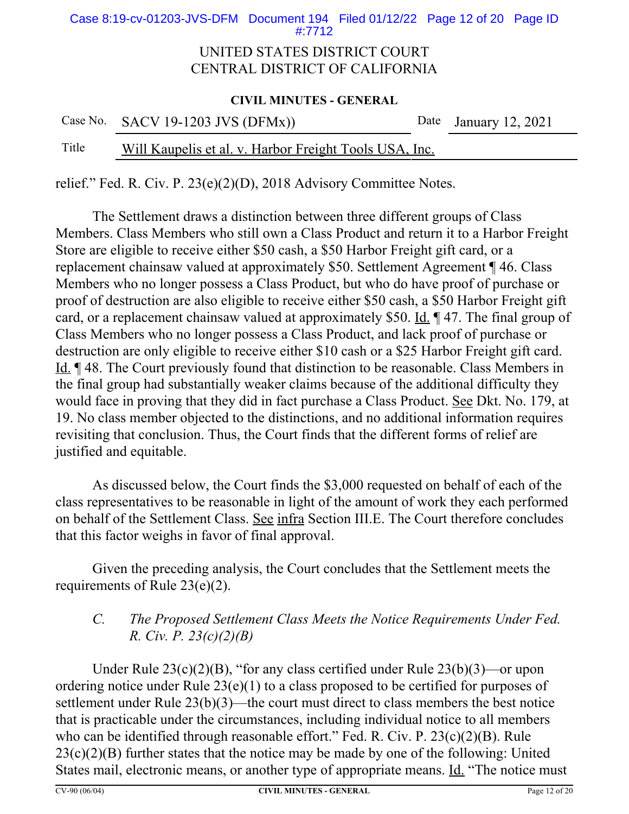Case 8:19-cv-01203-JVS-DFM Document 194 Filed 01/12/22 Page 12 of 20 Page ID #:7712

#### UNITED STATES DISTRICT COURT CENTRAL DISTRICT OF CALIFORNIA

#### **CIVIL MINUTES - GENERAL**

|       | Case No. SACV 19-1203 JVS $(DFMx)$ )                   | Date January 12, 2021 |
|-------|--------------------------------------------------------|-----------------------|
| Title | Will Kaupelis et al. v. Harbor Freight Tools USA, Inc. |                       |

relief." Fed. R. Civ. P. 23(e)(2)(D), 2018 Advisory Committee Notes.

The Settlement draws a distinction between three different groups of Class Members. Class Members who still own a Class Product and return it to a Harbor Freight Store are eligible to receive either \$50 cash, a \$50 Harbor Freight gift card, or a replacement chainsaw valued at approximately \$50. Settlement Agreement ¶ 46. Class Members who no longer possess a Class Product, but who do have proof of purchase or proof of destruction are also eligible to receive either \$50 cash, a \$50 Harbor Freight gift card, or a replacement chainsaw valued at approximately \$50. Id. ¶ 47. The final group of Class Members who no longer possess a Class Product, and lack proof of purchase or destruction are only eligible to receive either \$10 cash or a \$25 Harbor Freight gift card. Id. ¶ 48. The Court previously found that distinction to be reasonable. Class Members in the final group had substantially weaker claims because of the additional difficulty they would face in proving that they did in fact purchase a Class Product. See Dkt. No. 179, at 19. No class member objected to the distinctions, and no additional information requires revisiting that conclusion. Thus, the Court finds that the different forms of relief are justified and equitable.

As discussed below, the Court finds the \$3,000 requested on behalf of each of the class representatives to be reasonable in light of the amount of work they each performed on behalf of the Settlement Class. See infra Section III.E. The Court therefore concludes that this factor weighs in favor of final approval.

Given the preceding analysis, the Court concludes that the Settlement meets the requirements of Rule 23(e)(2).

## *C. The Proposed Settlement Class Meets the Notice Requirements Under Fed. R. Civ. P. 23(c)(2)(B)*

Under Rule 23(c)(2)(B), "for any class certified under Rule 23(b)(3)—or upon ordering notice under Rule 23(e)(1) to a class proposed to be certified for purposes of settlement under Rule 23(b)(3)—the court must direct to class members the best notice that is practicable under the circumstances, including individual notice to all members who can be identified through reasonable effort." Fed. R. Civ. P. 23(c)(2)(B). Rule  $23(c)(2)(B)$  further states that the notice may be made by one of the following: United States mail, electronic means, or another type of appropriate means. Id. "The notice must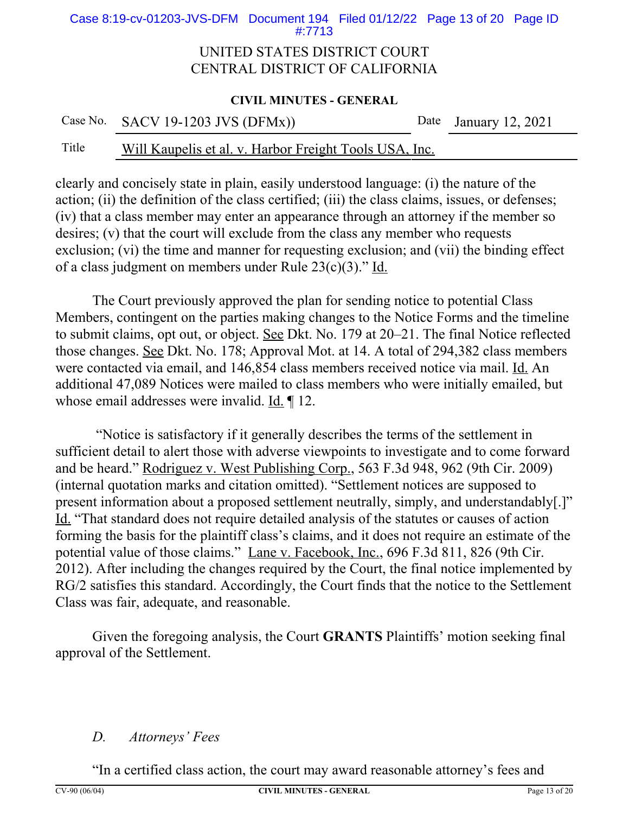Case 8:19-cv-01203-JVS-DFM Document 194 Filed 01/12/22 Page 13 of 20 Page ID #:7713

#### UNITED STATES DISTRICT COURT CENTRAL DISTRICT OF CALIFORNIA

#### **CIVIL MINUTES - GENERAL**

| Case No. SACV 19-1203 JVS $(DFMx)$ ) | Date January 12, 2021 |
|--------------------------------------|-----------------------|
|                                      |                       |

### Title Will Kaupelis et al. v. Harbor Freight Tools USA, Inc.

clearly and concisely state in plain, easily understood language: (i) the nature of the action; (ii) the definition of the class certified; (iii) the class claims, issues, or defenses; (iv) that a class member may enter an appearance through an attorney if the member so desires; (v) that the court will exclude from the class any member who requests exclusion; (vi) the time and manner for requesting exclusion; and (vii) the binding effect of a class judgment on members under Rule 23(c)(3)." Id.

The Court previously approved the plan for sending notice to potential Class Members, contingent on the parties making changes to the Notice Forms and the timeline to submit claims, opt out, or object. See Dkt. No. 179 at 20–21. The final Notice reflected those changes. See Dkt. No. 178; Approval Mot. at 14. A total of 294,382 class members were contacted via email, and 146,854 class members received notice via mail. Id. An additional 47,089 Notices were mailed to class members who were initially emailed, but whose email addresses were invalid. Id. ¶ 12.

 "Notice is satisfactory if it generally describes the terms of the settlement in sufficient detail to alert those with adverse viewpoints to investigate and to come forward and be heard." Rodriguez v. West Publishing Corp., 563 F.3d 948, 962 (9th Cir. 2009) (internal quotation marks and citation omitted). "Settlement notices are supposed to present information about a proposed settlement neutrally, simply, and understandably[.]" Id. "That standard does not require detailed analysis of the statutes or causes of action forming the basis for the plaintiff class's claims, and it does not require an estimate of the potential value of those claims." Lane v. Facebook, Inc., 696 F.3d 811, 826 (9th Cir. 2012). After including the changes required by the Court, the final notice implemented by RG/2 satisfies this standard. Accordingly, the Court finds that the notice to the Settlement Class was fair, adequate, and reasonable.

Given the foregoing analysis, the Court **GRANTS** Plaintiffs' motion seeking final approval of the Settlement.

#### *D. Attorneys' Fees*

"In a certified class action, the court may award reasonable attorney's fees and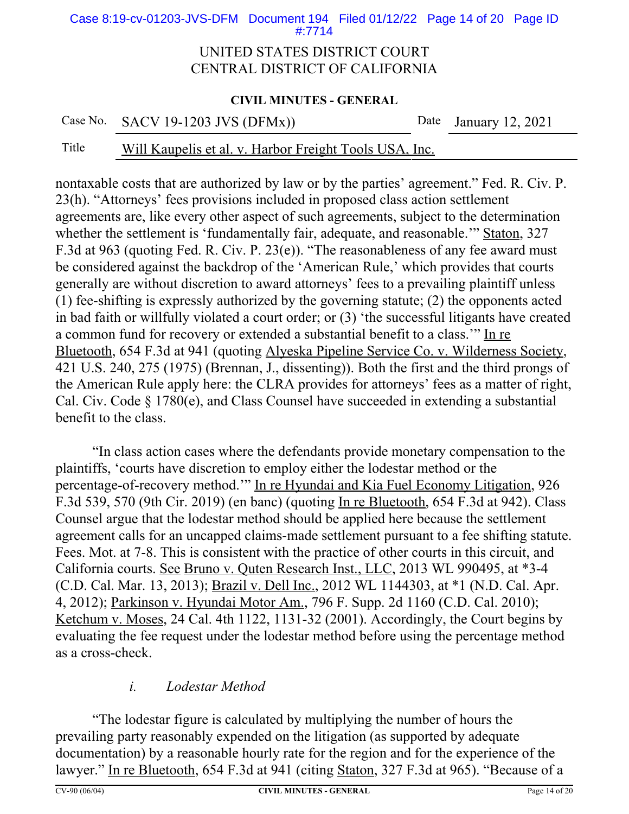Case 8:19-cv-01203-JVS-DFM Document 194 Filed 01/12/22 Page 14 of 20 Page ID #:7714

#### UNITED STATES DISTRICT COURT CENTRAL DISTRICT OF CALIFORNIA

#### **CIVIL MINUTES - GENERAL**

Case No. SACV 19-1203 JVS (DFMx)) Date January 12, 2021

### Title Will Kaupelis et al. v. Harbor Freight Tools USA, Inc.

nontaxable costs that are authorized by law or by the parties' agreement." Fed. R. Civ. P. 23(h). "Attorneys' fees provisions included in proposed class action settlement agreements are, like every other aspect of such agreements, subject to the determination whether the settlement is 'fundamentally fair, adequate, and reasonable.'" Staton, 327 F.3d at 963 (quoting Fed. R. Civ. P. 23(e)). "The reasonableness of any fee award must be considered against the backdrop of the 'American Rule,' which provides that courts generally are without discretion to award attorneys' fees to a prevailing plaintiff unless (1) fee-shifting is expressly authorized by the governing statute; (2) the opponents acted in bad faith or willfully violated a court order; or (3) 'the successful litigants have created a common fund for recovery or extended a substantial benefit to a class.'" In re Bluetooth, 654 F.3d at 941 (quoting Alyeska Pipeline Service Co. v. Wilderness Society, 421 U.S. 240, 275 (1975) (Brennan, J., dissenting)). Both the first and the third prongs of the American Rule apply here: the CLRA provides for attorneys' fees as a matter of right, Cal. Civ. Code § 1780(e), and Class Counsel have succeeded in extending a substantial benefit to the class.

"In class action cases where the defendants provide monetary compensation to the plaintiffs, 'courts have discretion to employ either the lodestar method or the percentage-of-recovery method.'" In re Hyundai and Kia Fuel Economy Litigation, 926 F.3d 539, 570 (9th Cir. 2019) (en banc) (quoting In re Bluetooth, 654 F.3d at 942). Class Counsel argue that the lodestar method should be applied here because the settlement agreement calls for an uncapped claims-made settlement pursuant to a fee shifting statute. Fees. Mot. at 7-8. This is consistent with the practice of other courts in this circuit, and California courts. See Bruno v. Quten Research Inst., LLC, 2013 WL 990495, at \*3-4 (C.D. Cal. Mar. 13, 2013); Brazil v. Dell Inc., 2012 WL 1144303, at \*1 (N.D. Cal. Apr. 4, 2012); Parkinson v. Hyundai Motor Am., 796 F. Supp. 2d 1160 (C.D. Cal. 2010); Ketchum v. Moses, 24 Cal. 4th 1122, 1131-32 (2001). Accordingly, the Court begins by evaluating the fee request under the lodestar method before using the percentage method as a cross-check.

### *i. Lodestar Method*

"The lodestar figure is calculated by multiplying the number of hours the prevailing party reasonably expended on the litigation (as supported by adequate documentation) by a reasonable hourly rate for the region and for the experience of the lawyer." In re Bluetooth, 654 F.3d at 941 (citing Staton, 327 F.3d at 965). "Because of a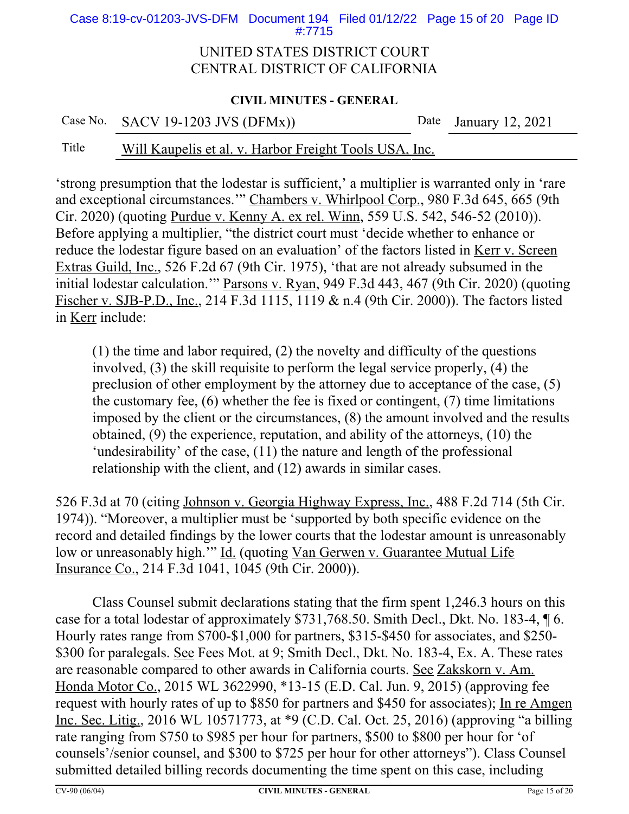Case 8:19-cv-01203-JVS-DFM Document 194 Filed 01/12/22 Page 15 of 20 Page ID #:7715

#### UNITED STATES DISTRICT COURT CENTRAL DISTRICT OF CALIFORNIA

#### **CIVIL MINUTES - GENERAL**

Case No. SACV 19-1203 JVS (DFMx)) Date January 12, 2021

### Title Will Kaupelis et al. v. Harbor Freight Tools USA, Inc.

'strong presumption that the lodestar is sufficient,' a multiplier is warranted only in 'rare and exceptional circumstances.'" Chambers v. Whirlpool Corp., 980 F.3d 645, 665 (9th Cir. 2020) (quoting Purdue v. Kenny A. ex rel. Winn, 559 U.S. 542, 546-52 (2010)). Before applying a multiplier, "the district court must 'decide whether to enhance or reduce the lodestar figure based on an evaluation' of the factors listed in Kerr v. Screen Extras Guild, Inc., 526 F.2d 67 (9th Cir. 1975), 'that are not already subsumed in the initial lodestar calculation." Parsons v. Ryan, 949 F.3d 443, 467 (9th Cir. 2020) (quoting Fischer v. SJB-P.D., Inc., 214 F.3d 1115, 1119 & n.4 (9th Cir. 2000)). The factors listed in Kerr include:

(1) the time and labor required, (2) the novelty and difficulty of the questions involved, (3) the skill requisite to perform the legal service properly, (4) the preclusion of other employment by the attorney due to acceptance of the case, (5) the customary fee, (6) whether the fee is fixed or contingent, (7) time limitations imposed by the client or the circumstances, (8) the amount involved and the results obtained, (9) the experience, reputation, and ability of the attorneys, (10) the 'undesirability' of the case, (11) the nature and length of the professional relationship with the client, and (12) awards in similar cases.

526 F.3d at 70 (citing Johnson v. Georgia Highway Express, Inc., 488 F.2d 714 (5th Cir. 1974)). "Moreover, a multiplier must be 'supported by both specific evidence on the record and detailed findings by the lower courts that the lodestar amount is unreasonably low or unreasonably high." Id. (quoting Van Gerwen v. Guarantee Mutual Life Insurance Co., 214 F.3d 1041, 1045 (9th Cir. 2000)).

Class Counsel submit declarations stating that the firm spent 1,246.3 hours on this case for a total lodestar of approximately \$731,768.50. Smith Decl., Dkt. No. 183-4, ¶ 6. Hourly rates range from \$700-\$1,000 for partners, \$315-\$450 for associates, and \$250- \$300 for paralegals. See Fees Mot. at 9; Smith Decl., Dkt. No. 183-4, Ex. A. These rates are reasonable compared to other awards in California courts. See Zakskorn v. Am. Honda Motor Co., 2015 WL 3622990, \*13-15 (E.D. Cal. Jun. 9, 2015) (approving fee request with hourly rates of up to \$850 for partners and \$450 for associates); In re Amgen Inc. Sec. Litig., 2016 WL 10571773, at \*9 (C.D. Cal. Oct. 25, 2016) (approving "a billing rate ranging from \$750 to \$985 per hour for partners, \$500 to \$800 per hour for 'of counsels'/senior counsel, and \$300 to \$725 per hour for other attorneys"). Class Counsel submitted detailed billing records documenting the time spent on this case, including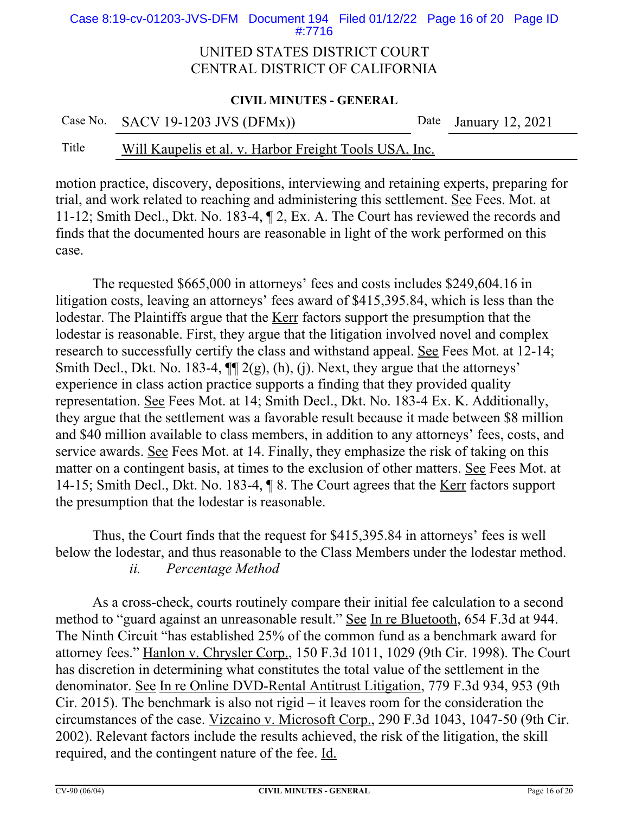Case 8:19-cv-01203-JVS-DFM Document 194 Filed 01/12/22 Page 16 of 20 Page ID #:7716

#### UNITED STATES DISTRICT COURT CENTRAL DISTRICT OF CALIFORNIA

#### **CIVIL MINUTES - GENERAL**

|  | Case No. SACV 19-1203 JVS (DFMx)) | Date January 12, 2021 |
|--|-----------------------------------|-----------------------|
|--|-----------------------------------|-----------------------|

#### Title Will Kaupelis et al. v. Harbor Freight Tools USA, Inc.

motion practice, discovery, depositions, interviewing and retaining experts, preparing for trial, and work related to reaching and administering this settlement. See Fees. Mot. at 11-12; Smith Decl., Dkt. No. 183-4, ¶ 2, Ex. A. The Court has reviewed the records and finds that the documented hours are reasonable in light of the work performed on this case.

The requested \$665,000 in attorneys' fees and costs includes \$249,604.16 in litigation costs, leaving an attorneys' fees award of \$415,395.84, which is less than the lodestar. The Plaintiffs argue that the Kerr factors support the presumption that the lodestar is reasonable. First, they argue that the litigation involved novel and complex research to successfully certify the class and withstand appeal. See Fees Mot. at 12-14; Smith Decl., Dkt. No. 183-4,  $\P\P$  2(g), (h), (j). Next, they argue that the attorneys' experience in class action practice supports a finding that they provided quality representation. See Fees Mot. at 14; Smith Decl., Dkt. No. 183-4 Ex. K. Additionally, they argue that the settlement was a favorable result because it made between \$8 million and \$40 million available to class members, in addition to any attorneys' fees, costs, and service awards. See Fees Mot. at 14. Finally, they emphasize the risk of taking on this matter on a contingent basis, at times to the exclusion of other matters. See Fees Mot. at 14-15; Smith Decl., Dkt. No. 183-4, ¶ 8. The Court agrees that the Kerr factors support the presumption that the lodestar is reasonable.

Thus, the Court finds that the request for \$415,395.84 in attorneys' fees is well below the lodestar, and thus reasonable to the Class Members under the lodestar method. *ii. Percentage Method*

As a cross-check, courts routinely compare their initial fee calculation to a second method to "guard against an unreasonable result." See In re Bluetooth, 654 F.3d at 944. The Ninth Circuit "has established 25% of the common fund as a benchmark award for attorney fees." Hanlon v. Chrysler Corp., 150 F.3d 1011, 1029 (9th Cir. 1998). The Court has discretion in determining what constitutes the total value of the settlement in the denominator. See In re Online DVD-Rental Antitrust Litigation, 779 F.3d 934, 953 (9th Cir. 2015). The benchmark is also not rigid – it leaves room for the consideration the circumstances of the case. Vizcaino v. Microsoft Corp., 290 F.3d 1043, 1047-50 (9th Cir. 2002). Relevant factors include the results achieved, the risk of the litigation, the skill required, and the contingent nature of the fee. Id.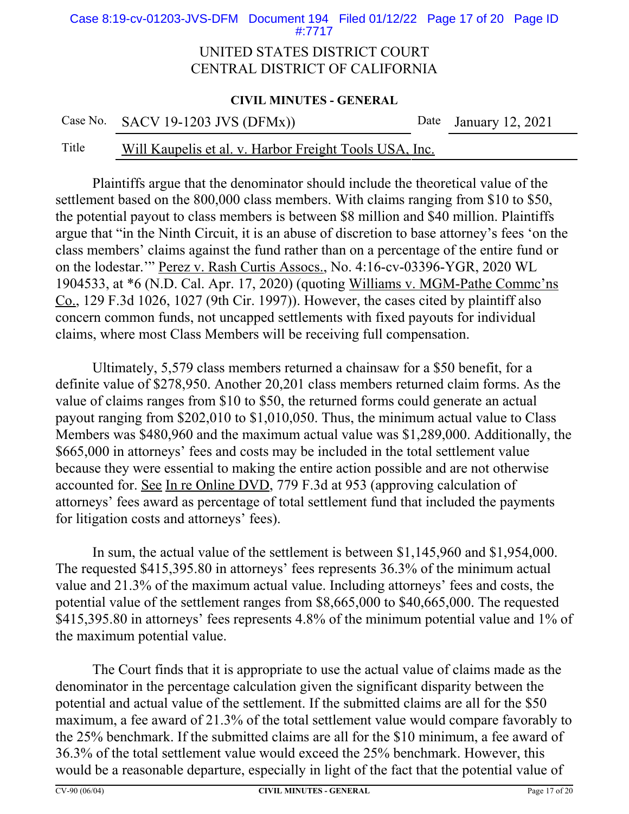Case 8:19-cv-01203-JVS-DFM Document 194 Filed 01/12/22 Page 17 of 20 Page ID #:7717

#### UNITED STATES DISTRICT COURT CENTRAL DISTRICT OF CALIFORNIA

#### **CIVIL MINUTES - GENERAL**

Case No. SACV 19-1203 JVS (DFMx)) Date January 12, 2021

### Title Will Kaupelis et al. v. Harbor Freight Tools USA, Inc.

Plaintiffs argue that the denominator should include the theoretical value of the settlement based on the 800,000 class members. With claims ranging from \$10 to \$50, the potential payout to class members is between \$8 million and \$40 million. Plaintiffs argue that "in the Ninth Circuit, it is an abuse of discretion to base attorney's fees 'on the class members' claims against the fund rather than on a percentage of the entire fund or on the lodestar.'" Perez v. Rash Curtis Assocs., No. 4:16-cv-03396-YGR, 2020 WL 1904533, at \*6 (N.D. Cal. Apr. 17, 2020) (quoting Williams v. MGM-Pathe Commc'ns Co., 129 F.3d 1026, 1027 (9th Cir. 1997)). However, the cases cited by plaintiff also concern common funds, not uncapped settlements with fixed payouts for individual claims, where most Class Members will be receiving full compensation.

Ultimately, 5,579 class members returned a chainsaw for a \$50 benefit, for a definite value of \$278,950. Another 20,201 class members returned claim forms. As the value of claims ranges from \$10 to \$50, the returned forms could generate an actual payout ranging from \$202,010 to \$1,010,050. Thus, the minimum actual value to Class Members was \$480,960 and the maximum actual value was \$1,289,000. Additionally, the \$665,000 in attorneys' fees and costs may be included in the total settlement value because they were essential to making the entire action possible and are not otherwise accounted for. See In re Online DVD, 779 F.3d at 953 (approving calculation of attorneys' fees award as percentage of total settlement fund that included the payments for litigation costs and attorneys' fees).

In sum, the actual value of the settlement is between \$1,145,960 and \$1,954,000. The requested \$415,395.80 in attorneys' fees represents 36.3% of the minimum actual value and 21.3% of the maximum actual value. Including attorneys' fees and costs, the potential value of the settlement ranges from \$8,665,000 to \$40,665,000. The requested \$415,395.80 in attorneys' fees represents 4.8% of the minimum potential value and 1% of the maximum potential value.

The Court finds that it is appropriate to use the actual value of claims made as the denominator in the percentage calculation given the significant disparity between the potential and actual value of the settlement. If the submitted claims are all for the \$50 maximum, a fee award of 21.3% of the total settlement value would compare favorably to the 25% benchmark. If the submitted claims are all for the \$10 minimum, a fee award of 36.3% of the total settlement value would exceed the 25% benchmark. However, this would be a reasonable departure, especially in light of the fact that the potential value of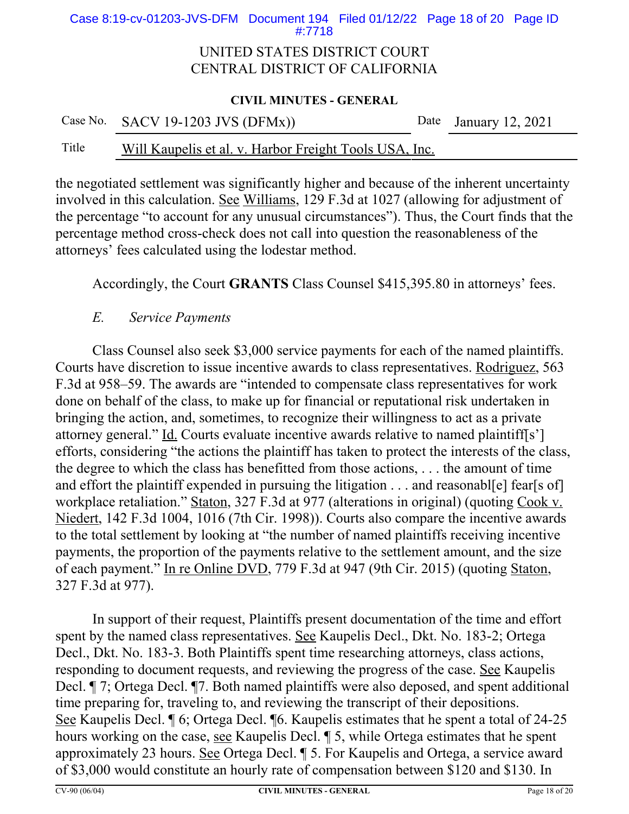Case 8:19-cv-01203-JVS-DFM Document 194 Filed 01/12/22 Page 18 of 20 Page ID #:7718

#### UNITED STATES DISTRICT COURT CENTRAL DISTRICT OF CALIFORNIA

#### **CIVIL MINUTES - GENERAL**

|       | Case No. SACV 19-1203 JVS $(DFMx)$                     | Date January 12, 2021 |
|-------|--------------------------------------------------------|-----------------------|
| Title | Will Kaupelis et al. v. Harbor Freight Tools USA, Inc. |                       |

the negotiated settlement was significantly higher and because of the inherent uncertainty involved in this calculation. See Williams, 129 F.3d at 1027 (allowing for adjustment of the percentage "to account for any unusual circumstances"). Thus, the Court finds that the percentage method cross-check does not call into question the reasonableness of the attorneys' fees calculated using the lodestar method.

Accordingly, the Court **GRANTS** Class Counsel \$415,395.80 in attorneys' fees.

#### *E. Service Payments*

Class Counsel also seek \$3,000 service payments for each of the named plaintiffs. Courts have discretion to issue incentive awards to class representatives. Rodriguez, 563 F.3d at 958–59. The awards are "intended to compensate class representatives for work done on behalf of the class, to make up for financial or reputational risk undertaken in bringing the action, and, sometimes, to recognize their willingness to act as a private attorney general." Id. Courts evaluate incentive awards relative to named plaintiff[s'] efforts, considering "the actions the plaintiff has taken to protect the interests of the class, the degree to which the class has benefitted from those actions, . . . the amount of time and effort the plaintiff expended in pursuing the litigation . . . and reasonable l fear [s of] workplace retaliation." Staton, 327 F.3d at 977 (alterations in original) (quoting Cook v. Niedert, 142 F.3d 1004, 1016 (7th Cir. 1998)). Courts also compare the incentive awards to the total settlement by looking at "the number of named plaintiffs receiving incentive payments, the proportion of the payments relative to the settlement amount, and the size of each payment." In re Online DVD, 779 F.3d at 947 (9th Cir. 2015) (quoting Staton, 327 F.3d at 977).

In support of their request, Plaintiffs present documentation of the time and effort spent by the named class representatives. See Kaupelis Decl., Dkt. No. 183-2; Ortega Decl., Dkt. No. 183-3. Both Plaintiffs spent time researching attorneys, class actions, responding to document requests, and reviewing the progress of the case. See Kaupelis Decl. ¶ 7; Ortega Decl. ¶7. Both named plaintiffs were also deposed, and spent additional time preparing for, traveling to, and reviewing the transcript of their depositions. See Kaupelis Decl. ¶ 6; Ortega Decl. ¶6. Kaupelis estimates that he spent a total of 24-25 hours working on the case, see Kaupelis Decl. ¶ 5, while Ortega estimates that he spent approximately 23 hours. See Ortega Decl. ¶ 5. For Kaupelis and Ortega, a service award of \$3,000 would constitute an hourly rate of compensation between \$120 and \$130. In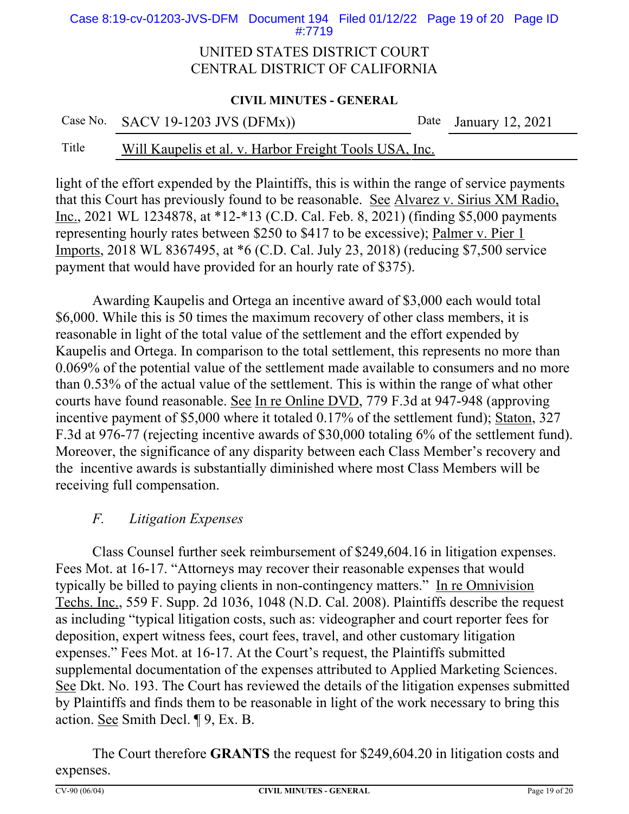Case 8:19-cv-01203-JVS-DFM Document 194 Filed 01/12/22 Page 19 of 20 Page ID #:7719

#### UNITED STATES DISTRICT COURT CENTRAL DISTRICT OF CALIFORNIA

#### **CIVIL MINUTES - GENERAL**

|  | Case No. SACV 19-1203 JVS $(DFMx)$ | Date January 12, 2021 |
|--|------------------------------------|-----------------------|
|--|------------------------------------|-----------------------|

### Title Will Kaupelis et al. v. Harbor Freight Tools USA, Inc.

light of the effort expended by the Plaintiffs, this is within the range of service payments that this Court has previously found to be reasonable. See Alvarez v. Sirius XM Radio, Inc., 2021 WL 1234878, at \*12-\*13 (C.D. Cal. Feb. 8, 2021) (finding \$5,000 payments representing hourly rates between \$250 to \$417 to be excessive); Palmer v. Pier 1 Imports, 2018 WL 8367495, at \*6 (C.D. Cal. July 23, 2018) (reducing \$7,500 service payment that would have provided for an hourly rate of \$375).

Awarding Kaupelis and Ortega an incentive award of \$3,000 each would total \$6,000. While this is 50 times the maximum recovery of other class members, it is reasonable in light of the total value of the settlement and the effort expended by Kaupelis and Ortega. In comparison to the total settlement, this represents no more than 0.069% of the potential value of the settlement made available to consumers and no more than 0.53% of the actual value of the settlement. This is within the range of what other courts have found reasonable. See In re Online DVD, 779 F.3d at 947-948 (approving incentive payment of \$5,000 where it totaled 0.17% of the settlement fund); Staton, 327 F.3d at 976-77 (rejecting incentive awards of \$30,000 totaling 6% of the settlement fund). Moreover, the significance of any disparity between each Class Member's recovery and the incentive awards is substantially diminished where most Class Members will be receiving full compensation.

### *F. Litigation Expenses*

Class Counsel further seek reimbursement of \$249,604.16 in litigation expenses. Fees Mot. at 16-17. "Attorneys may recover their reasonable expenses that would typically be billed to paying clients in non-contingency matters." In re Omnivision Techs. Inc., 559 F. Supp. 2d 1036, 1048 (N.D. Cal. 2008). Plaintiffs describe the request as including "typical litigation costs, such as: videographer and court reporter fees for deposition, expert witness fees, court fees, travel, and other customary litigation expenses." Fees Mot. at 16-17. At the Court's request, the Plaintiffs submitted supplemental documentation of the expenses attributed to Applied Marketing Sciences. See Dkt. No. 193. The Court has reviewed the details of the litigation expenses submitted by Plaintiffs and finds them to be reasonable in light of the work necessary to bring this action. See Smith Decl. ¶ 9, Ex. B.

The Court therefore **GRANTS** the request for \$249,604.20 in litigation costs and expenses.